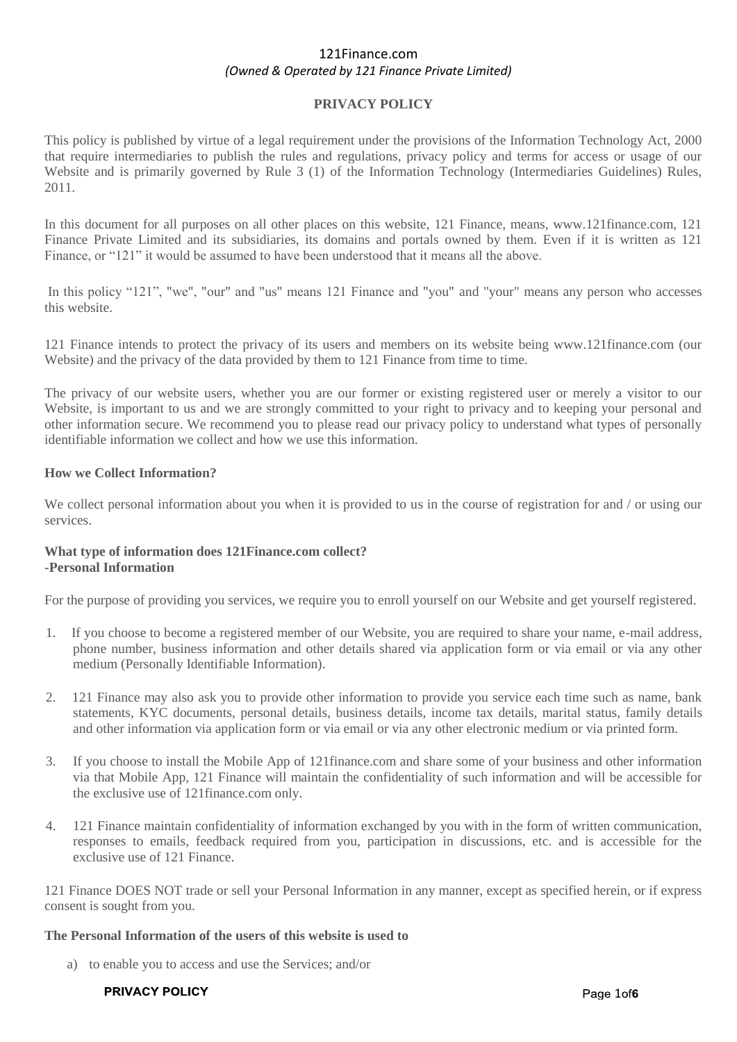## **PRIVACY POLICY**

This policy is published by virtue of a legal requirement under the provisions of the Information Technology Act, 2000 that require intermediaries to publish the rules and regulations, privacy policy and terms for access or usage of our Website and is primarily governed by Rule 3 (1) of the Information Technology (Intermediaries Guidelines) Rules, 2011.

In this document for all purposes on all other places on this website, 121 Finance, means, www.121finance.com, 121 Finance Private Limited and its subsidiaries, its domains and portals owned by them. Even if it is written as 121 Finance, or "121" it would be assumed to have been understood that it means all the above.

In this policy "121", "we", "our" and "us" means 121 Finance and "you" and "your" means any person who accesses this website.

121 Finance intends to protect the privacy of its users and members on its website being www.121finance.com (our Website) and the privacy of the data provided by them to 121 Finance from time to time.

The privacy of our website users, whether you are our former or existing registered user or merely a visitor to our Website, is important to us and we are strongly committed to your right to privacy and to keeping your personal and other information secure. We recommend you to please read our privacy policy to understand what types of personally identifiable information we collect and how we use this information.

#### **How we Collect Information?**

We collect personal information about you when it is provided to us in the course of registration for and / or using our services.

### **What type of information does 121Finance.com collect? -Personal Information**

For the purpose of providing you services, we require you to enroll yourself on our Website and get yourself registered.

- 1. If you choose to become a registered member of our Website, you are required to share your name, e-mail address, phone number, business information and other details shared via application form or via email or via any other medium (Personally Identifiable Information).
- 2. 121 Finance may also ask you to provide other information to provide you service each time such as name, bank statements, KYC documents, personal details, business details, income tax details, marital status, family details and other information via application form or via email or via any other electronic medium or via printed form.
- 3. If you choose to install the Mobile App of 121finance.com and share some of your business and other information via that Mobile App, 121 Finance will maintain the confidentiality of such information and will be accessible for the exclusive use of 121finance.com only.
- 4. 121 Finance maintain confidentiality of information exchanged by you with in the form of written communication, responses to emails, feedback required from you, participation in discussions, etc. and is accessible for the exclusive use of 121 Finance.

121 Finance DOES NOT trade or sell your Personal Information in any manner, except as specified herein, or if express consent is sought from you.

### **The Personal Information of the users of this website is used to**

a) to enable you to access and use the Services; and/or

#### PRIVACY POLICY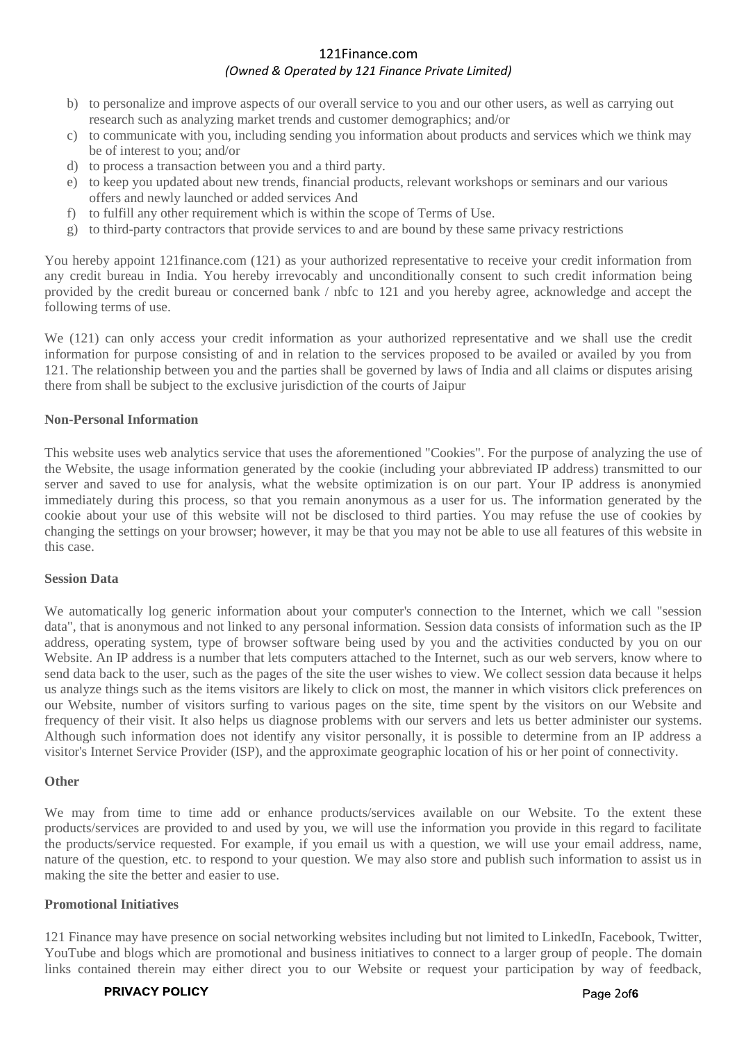- b) to personalize and improve aspects of our overall service to you and our other users, as well as carrying out research such as analyzing market trends and customer demographics; and/or
- c) to communicate with you, including sending you information about products and services which we think may be of interest to you; and/or
- d) to process a transaction between you and a third party.
- e) to keep you updated about new trends, financial products, relevant workshops or seminars and our various offers and newly launched or added services And
- f) to fulfill any other requirement which is within the scope of Terms of Use.
- g) to third-party contractors that provide services to and are bound by these same privacy restrictions

You hereby appoint 121finance.com (121) as your authorized representative to receive your credit information from any credit bureau in India. You hereby irrevocably and unconditionally consent to such credit information being provided by the credit bureau or concerned bank / nbfc to 121 and you hereby agree, acknowledge and accept the following terms of use.

We (121) can only access your credit information as your authorized representative and we shall use the credit information for purpose consisting of and in relation to the services proposed to be availed or availed by you from 121. The relationship between you and the parties shall be governed by laws of India and all claims or disputes arising there from shall be subject to the exclusive jurisdiction of the courts of Jaipur

### **Non-Personal Information**

This website uses web analytics service that uses the aforementioned "Cookies". For the purpose of analyzing the use of the Website, the usage information generated by the cookie (including your abbreviated IP address) transmitted to our server and saved to use for analysis, what the website optimization is on our part. Your IP address is anonymied immediately during this process, so that you remain anonymous as a user for us. The information generated by the cookie about your use of this website will not be disclosed to third parties. You may refuse the use of cookies by changing the settings on your browser; however, it may be that you may not be able to use all features of this website in this case.

### **Session Data**

We automatically log generic information about your computer's connection to the Internet, which we call "session data", that is anonymous and not linked to any personal information. Session data consists of information such as the IP address, operating system, type of browser software being used by you and the activities conducted by you on our Website. An IP address is a number that lets computers attached to the Internet, such as our web servers, know where to send data back to the user, such as the pages of the site the user wishes to view. We collect session data because it helps us analyze things such as the items visitors are likely to click on most, the manner in which visitors click preferences on our Website, number of visitors surfing to various pages on the site, time spent by the visitors on our Website and frequency of their visit. It also helps us diagnose problems with our servers and lets us better administer our systems. Although such information does not identify any visitor personally, it is possible to determine from an IP address a visitor's Internet Service Provider (ISP), and the approximate geographic location of his or her point of connectivity.

#### **Other**

We may from time to time add or enhance products/services available on our Website. To the extent these products/services are provided to and used by you, we will use the information you provide in this regard to facilitate the products/service requested. For example, if you email us with a question, we will use your email address, name, nature of the question, etc. to respond to your question. We may also store and publish such information to assist us in making the site the better and easier to use.

### **Promotional Initiatives**

121 Finance may have presence on social networking websites including but not limited to LinkedIn, Facebook, Twitter, YouTube and blogs which are promotional and business initiatives to connect to a larger group of people. The domain links contained therein may either direct you to our Website or request your participation by way of feedback,

#### PRIVACY POLICY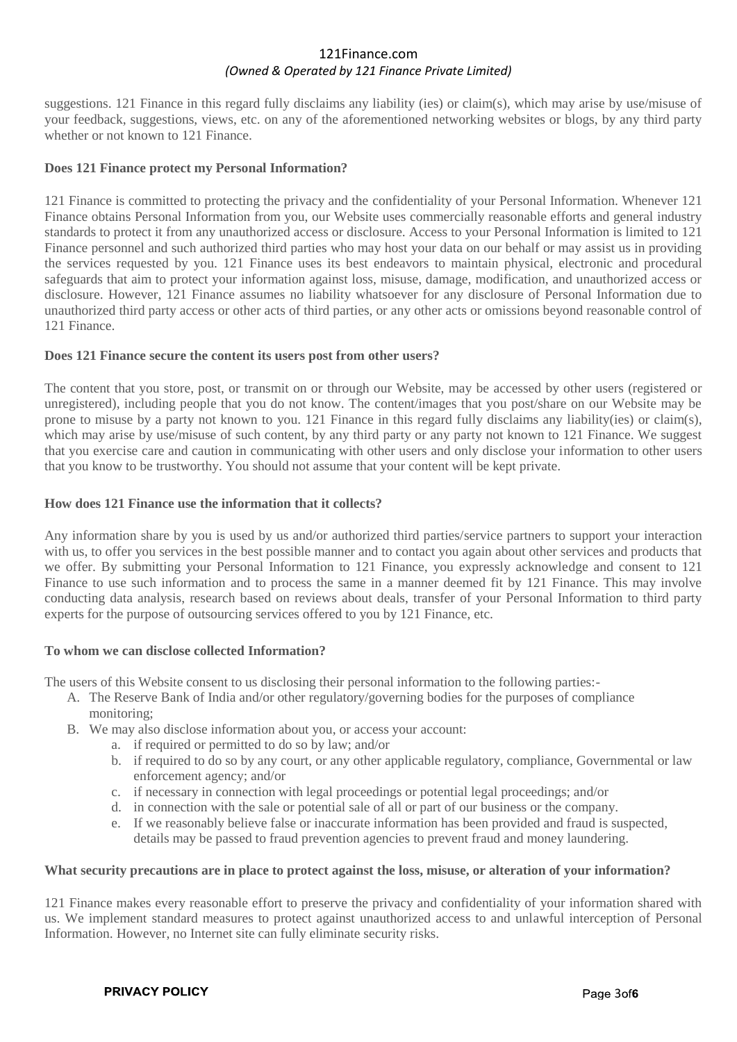suggestions. 121 Finance in this regard fully disclaims any liability (ies) or claim(s), which may arise by use/misuse of your feedback, suggestions, views, etc. on any of the aforementioned networking websites or blogs, by any third party whether or not known to 121 Finance.

### **Does 121 Finance protect my Personal Information?**

121 Finance is committed to protecting the privacy and the confidentiality of your Personal Information. Whenever 121 Finance obtains Personal Information from you, our Website uses commercially reasonable efforts and general industry standards to protect it from any unauthorized access or disclosure. Access to your Personal Information is limited to 121 Finance personnel and such authorized third parties who may host your data on our behalf or may assist us in providing the services requested by you. 121 Finance uses its best endeavors to maintain physical, electronic and procedural safeguards that aim to protect your information against loss, misuse, damage, modification, and unauthorized access or disclosure. However, 121 Finance assumes no liability whatsoever for any disclosure of Personal Information due to unauthorized third party access or other acts of third parties, or any other acts or omissions beyond reasonable control of 121 Finance.

### **Does 121 Finance secure the content its users post from other users?**

The content that you store, post, or transmit on or through our Website, may be accessed by other users (registered or unregistered), including people that you do not know. The content/images that you post/share on our Website may be prone to misuse by a party not known to you. 121 Finance in this regard fully disclaims any liability(ies) or claim(s), which may arise by use/misuse of such content, by any third party or any party not known to 121 Finance. We suggest that you exercise care and caution in communicating with other users and only disclose your information to other users that you know to be trustworthy. You should not assume that your content will be kept private.

## **How does 121 Finance use the information that it collects?**

Any information share by you is used by us and/or authorized third parties/service partners to support your interaction with us, to offer you services in the best possible manner and to contact you again about other services and products that we offer. By submitting your Personal Information to 121 Finance, you expressly acknowledge and consent to 121 Finance to use such information and to process the same in a manner deemed fit by 121 Finance. This may involve conducting data analysis, research based on reviews about deals, transfer of your Personal Information to third party experts for the purpose of outsourcing services offered to you by 121 Finance, etc.

### **To whom we can disclose collected Information?**

The users of this Website consent to us disclosing their personal information to the following parties:-

- A. The Reserve Bank of India and/or other regulatory/governing bodies for the purposes of compliance monitoring;
- B. We may also disclose information about you, or access your account:
	- a. if required or permitted to do so by law; and/or
	- b. if required to do so by any court, or any other applicable regulatory, compliance, Governmental or law enforcement agency; and/or
	- c. if necessary in connection with legal proceedings or potential legal proceedings; and/or
	- d. in connection with the sale or potential sale of all or part of our business or the company.
	- e. If we reasonably believe false or inaccurate information has been provided and fraud is suspected, details may be passed to fraud prevention agencies to prevent fraud and money laundering.

### **What security precautions are in place to protect against the loss, misuse, or alteration of your information?**

121 Finance makes every reasonable effort to preserve the privacy and confidentiality of your information shared with us. We implement standard measures to protect against unauthorized access to and unlawful interception of Personal Information. However, no Internet site can fully eliminate security risks.